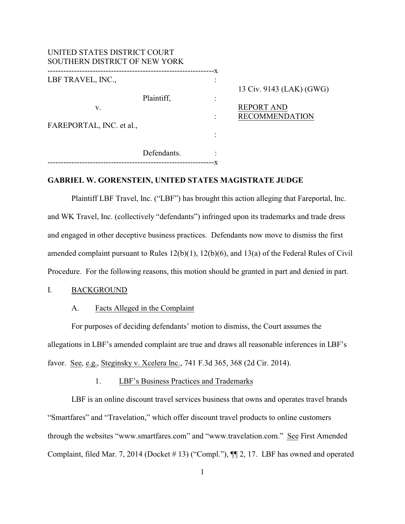| UNITED STATES DISTRICT COURT<br>SOUTHERN DISTRICT OF NEW YORK |             |         |                                                                        |
|---------------------------------------------------------------|-------------|---------|------------------------------------------------------------------------|
| LBF TRAVEL, INC.,<br>V.<br>FAREPORTAL, INC. et al.,           | Plaintiff,  | -X<br>٠ | 13 Civ. 9143 (LAK) (GWG)<br><b>REPORT AND</b><br><b>RECOMMENDATION</b> |
|                                                               | Defendants. | -X      |                                                                        |

#### **GABRIEL W. GORENSTEIN, UNITED STATES MAGISTRATE JUDGE**

Plaintiff LBF Travel, Inc. ("LBF") has brought this action alleging that Fareportal, Inc. and WK Travel, Inc. (collectively "defendants") infringed upon its trademarks and trade dress and engaged in other deceptive business practices. Defendants now move to dismiss the first amended complaint pursuant to Rules 12(b)(1), 12(b)(6), and 13(a) of the Federal Rules of Civil Procedure. For the following reasons, this motion should be granted in part and denied in part.

#### I. BACKGROUND

#### A. Facts Alleged in the Complaint

For purposes of deciding defendants' motion to dismiss, the Court assumes the allegations in LBF's amended complaint are true and draws all reasonable inferences in LBF's favor. See, e.g., Steginsky v. Xcelera Inc., 741 F.3d 365, 368 (2d Cir. 2014).

#### 1. LBF's Business Practices and Trademarks

LBF is an online discount travel services business that owns and operates travel brands "Smartfares" and "Travelation," which offer discount travel products to online customers through the websites "www.smartfares.com" and "www.travelation.com." See First Amended Complaint, filed Mar. 7, 2014 (Docket # 13) ("Compl."), ¶¶ 2, 17. LBF has owned and operated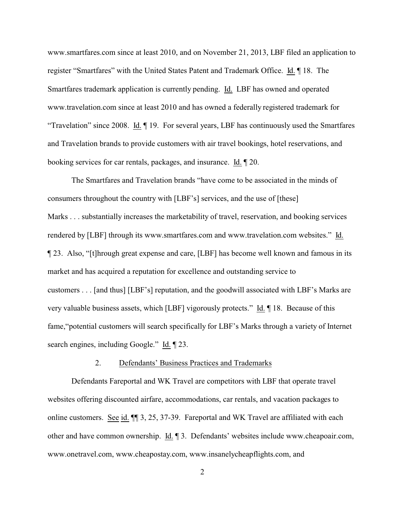www.smartfares.com since at least 2010, and on November 21, 2013, LBF filed an application to register "Smartfares" with the United States Patent and Trademark Office. Id. ¶ 18. The Smartfares trademark application is currently pending. Id. LBF has owned and operated www.travelation.com since at least 2010 and has owned a federally registered trademark for "Travelation" since 2008. Id. ¶ 19. For several years, LBF has continuously used the Smartfares and Travelation brands to provide customers with air travel bookings, hotel reservations, and booking services for car rentals, packages, and insurance. Id. ¶ 20.

The Smartfares and Travelation brands "have come to be associated in the minds of consumers throughout the country with [LBF's] services, and the use of [these] Marks . . . substantially increases the marketability of travel, reservation, and booking services rendered by [LBF] through its www.smartfares.com and www.travelation.com websites." Id. ¶ 23. Also, "[t]hrough great expense and care, [LBF] has become well known and famous in its market and has acquired a reputation for excellence and outstanding service to customers . . . [and thus] [LBF's] reputation, and the goodwill associated with LBF's Marks are very valuable business assets, which [LBF] vigorously protects." Id. ¶ 18. Because of this fame,"potential customers will search specifically for LBF's Marks through a variety of Internet search engines, including Google." Id.  $\P$  23.

## 2. Defendants' Business Practices and Trademarks

Defendants Fareportal and WK Travel are competitors with LBF that operate travel websites offering discounted airfare, accommodations, car rentals, and vacation packages to online customers. See id. ¶¶ 3, 25, 37-39. Fareportal and WK Travel are affiliated with each other and have common ownership. Id. ¶ 3. Defendants' websites include www.cheapoair.com, www.onetravel.com, www.cheapostay.com, www.insanelycheapflights.com, and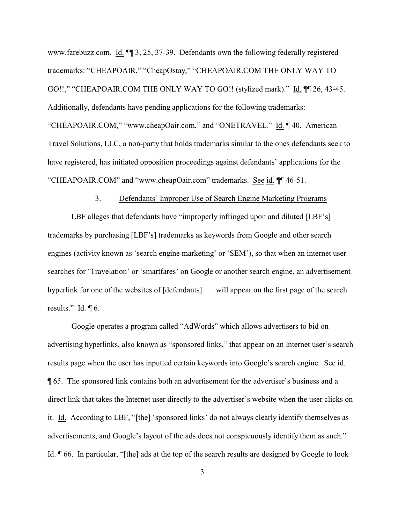www.farebuzz.com. Id. ¶¶ 3, 25, 37-39. Defendants own the following federally registered trademarks: "CHEAPOAIR," "CheapOstay," "CHEAPOAIR.COM THE ONLY WAY TO GO!!," "CHEAPOAIR.COM THE ONLY WAY TO GO!! (stylized mark)." Id. ¶¶ 26, 43-45. Additionally, defendants have pending applications for the following trademarks: "CHEAPOAIR.COM," "www.cheapOair.com," and "ONETRAVEL." Id. ¶ 40. American Travel Solutions, LLC, a non-party that holds trademarks similar to the ones defendants seek to have registered, has initiated opposition proceedings against defendants' applications for the "CHEAPOAIR.COM" and "www.cheapOair.com" trademarks. See id. ¶¶ 46-51.

### 3. Defendants' Improper Use of Search Engine Marketing Programs

LBF alleges that defendants have "improperly infringed upon and diluted [LBF's] trademarks by purchasing [LBF's] trademarks as keywords from Google and other search engines (activity known as 'search engine marketing' or 'SEM'), so that when an internet user searches for 'Travelation' or 'smartfares' on Google or another search engine, an advertisement hyperlink for one of the websites of [defendants] . . . will appear on the first page of the search results." Id.  $\P$  6.

Google operates a program called "AdWords" which allows advertisers to bid on advertising hyperlinks, also known as "sponsored links," that appear on an Internet user's search results page when the user has inputted certain keywords into Google's search engine. See id. ¶ 65. The sponsored link contains both an advertisement for the advertiser's business and a direct link that takes the Internet user directly to the advertiser's website when the user clicks on it. Id. According to LBF, "[the] 'sponsored links' do not always clearly identify themselves as advertisements, and Google's layout of the ads does not conspicuously identify them as such." Id. ¶ 66. In particular, "[the] ads at the top of the search results are designed by Google to look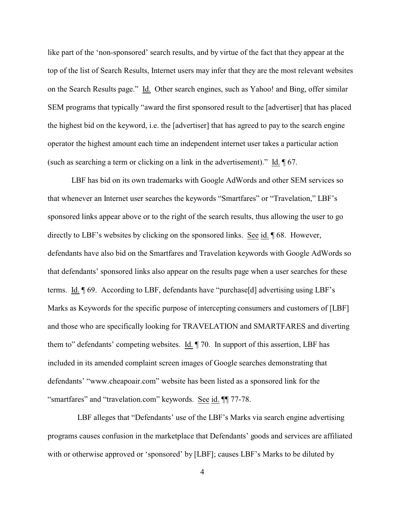like part of the 'non-sponsored' search results, and by virtue of the fact that they appear at the top of the list of Search Results, Internet users may infer that they are the most relevant websites on the Search Results page." Id. Other search engines, such as Yahoo! and Bing, offer similar SEM programs that typically "award the first sponsored result to the [advertiser] that has placed the highest bid on the keyword, i.e. the [advertiser] that has agreed to pay to the search engine operator the highest amount each time an independent internet user takes a particular action (such as searching a term or clicking on a link in the advertisement)." Id. ¶ 67.

LBF has bid on its own trademarks with Google AdWords and other SEM services so that whenever an Internet user searches the keywords "Smartfares" or "Travelation," LBF's sponsored links appear above or to the right of the search results, thus allowing the user to go directly to LBF's websites by clicking on the sponsored links. See id. ¶ 68. However, defendants have also bid on the Smartfares and Travelation keywords with Google AdWords so that defendants' sponsored links also appear on the results page when a user searches for these terms. Id. ¶ 69. According to LBF, defendants have "purchase[d] advertising using LBF's Marks as Keywords for the specific purpose of intercepting consumers and customers of [LBF] and those who are specifically looking for TRAVELATION and SMARTFARES and diverting them to" defendants' competing websites. Id. ¶ 70. In support of this assertion, LBF has included in its amended complaint screen images of Google searches demonstrating that defendants' "www.cheapoair.com" website has been listed as a sponsored link for the "smartfares" and "travelation.com" keywords. See id. ¶¶ 77-78.

 LBF alleges that "Defendants' use of the LBF's Marks via search engine advertising programs causes confusion in the marketplace that Defendants' goods and services are affiliated with or otherwise approved or 'sponsored' by [LBF]; causes LBF's Marks to be diluted by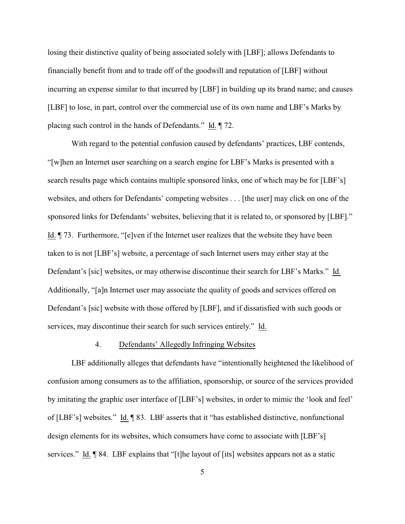losing their distinctive quality of being associated solely with [LBF]; allows Defendants to financially benefit from and to trade off of the goodwill and reputation of [LBF] without incurring an expense similar to that incurred by [LBF] in building up its brand name; and causes [LBF] to lose, in part, control over the commercial use of its own name and LBF's Marks by placing such control in the hands of Defendants." Id. ¶ 72.

With regard to the potential confusion caused by defendants' practices, LBF contends, "[w]hen an Internet user searching on a search engine for LBF's Marks is presented with a search results page which contains multiple sponsored links, one of which may be for [LBF's] websites, and others for Defendants' competing websites . . . [the user] may click on one of the sponsored links for Defendants' websites, believing that it is related to, or sponsored by [LBF]." Id. ¶ 73. Furthermore, "[e]ven if the Internet user realizes that the website they have been taken to is not [LBF's] website, a percentage of such Internet users may either stay at the Defendant's [sic] websites, or may otherwise discontinue their search for LBF's Marks." Id. Additionally, "[a]n Internet user may associate the quality of goods and services offered on Defendant's [sic] website with those offered by [LBF], and if dissatisfied with such goods or services, may discontinue their search for such services entirely." Id.

#### 4. Defendants' Allegedly Infringing Websites

LBF additionally alleges that defendants have "intentionally heightened the likelihood of confusion among consumers as to the affiliation, sponsorship, or source of the services provided by imitating the graphic user interface of [LBF's] websites, in order to mimic the 'look and feel' of [LBF's] websites." Id. ¶ 83. LBF asserts that it "has established distinctive, nonfunctional design elements for its websites, which consumers have come to associate with [LBF's] services." Id. ¶ 84. LBF explains that "[t]he layout of [its] websites appears not as a static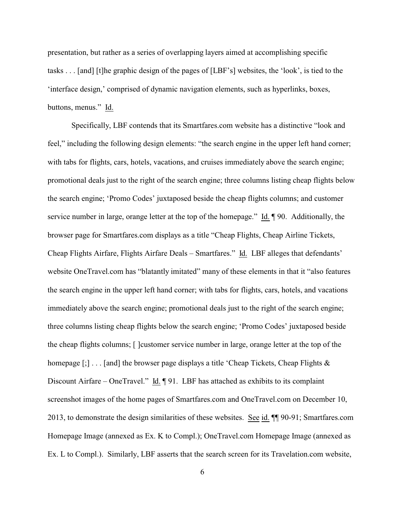presentation, but rather as a series of overlapping layers aimed at accomplishing specific tasks . . . [and] [t]he graphic design of the pages of [LBF's] websites, the 'look', is tied to the 'interface design,' comprised of dynamic navigation elements, such as hyperlinks, boxes, buttons, menus." Id.

Specifically, LBF contends that its Smartfares.com website has a distinctive "look and feel," including the following design elements: "the search engine in the upper left hand corner; with tabs for flights, cars, hotels, vacations, and cruises immediately above the search engine; promotional deals just to the right of the search engine; three columns listing cheap flights below the search engine; 'Promo Codes' juxtaposed beside the cheap flights columns; and customer service number in large, orange letter at the top of the homepage." Id. ¶ 90. Additionally, the browser page for Smartfares.com displays as a title "Cheap Flights, Cheap Airline Tickets, Cheap Flights Airfare, Flights Airfare Deals – Smartfares." Id. LBF alleges that defendants' website OneTravel.com has "blatantly imitated" many of these elements in that it "also features the search engine in the upper left hand corner; with tabs for flights, cars, hotels, and vacations immediately above the search engine; promotional deals just to the right of the search engine; three columns listing cheap flights below the search engine; 'Promo Codes' juxtaposed beside the cheap flights columns; [ ]customer service number in large, orange letter at the top of the homepage  $[\cdot]$ ... [and] the browser page displays a title 'Cheap Tickets, Cheap Flights  $\&$ Discount Airfare – OneTravel."  $\underline{Id}$ .  $\P$  91. LBF has attached as exhibits to its complaint screenshot images of the home pages of Smartfares.com and OneTravel.com on December 10, 2013, to demonstrate the design similarities of these websites. See id. ¶¶ 90-91; Smartfares.com Homepage Image (annexed as Ex. K to Compl.); OneTravel.com Homepage Image (annexed as Ex. L to Compl.). Similarly, LBF asserts that the search screen for its Travelation.com website,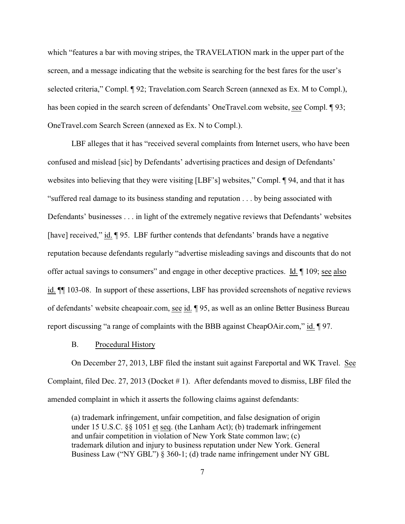which "features a bar with moving stripes, the TRAVELATION mark in the upper part of the screen, and a message indicating that the website is searching for the best fares for the user's selected criteria," Compl. ¶ 92; Travelation.com Search Screen (annexed as Ex. M to Compl.), has been copied in the search screen of defendants' OneTravel.com website, see Compl. ¶ 93; OneTravel.com Search Screen (annexed as Ex. N to Compl.).

LBF alleges that it has "received several complaints from Internet users, who have been confused and mislead [sic] by Defendants' advertising practices and design of Defendants' websites into believing that they were visiting [LBF's] websites," Compl. ¶ 94, and that it has "suffered real damage to its business standing and reputation . . . by being associated with Defendants' businesses . . . in light of the extremely negative reviews that Defendants' websites [have] received," id. ¶ 95. LBF further contends that defendants' brands have a negative reputation because defendants regularly "advertise misleading savings and discounts that do not offer actual savings to consumers" and engage in other deceptive practices. Id. ¶ 109; see also id. ¶¶ 103-08. In support of these assertions, LBF has provided screenshots of negative reviews of defendants' website cheapoair.com, see id. ¶ 95, as well as an online Better Business Bureau report discussing "a range of complaints with the BBB against CheapOAir.com," id. ¶ 97.

#### B. Procedural History

On December 27, 2013, LBF filed the instant suit against Fareportal and WK Travel. See Complaint, filed Dec. 27, 2013 (Docket # 1). After defendants moved to dismiss, LBF filed the amended complaint in which it asserts the following claims against defendants:

(a) trademark infringement, unfair competition, and false designation of origin under 15 U.S.C. §§ 1051 et seq. (the Lanham Act); (b) trademark infringement and unfair competition in violation of New York State common law; (c) trademark dilution and injury to business reputation under New York. General Business Law ("NY GBL") § 360-1; (d) trade name infringement under NY GBL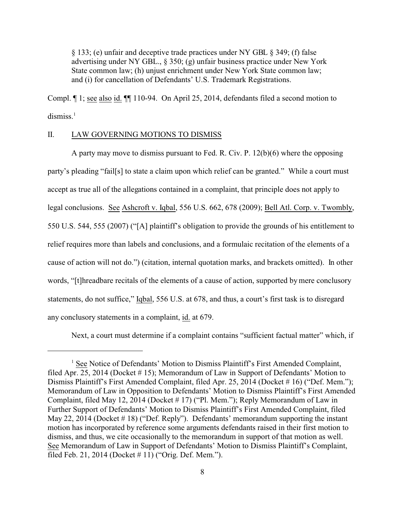§ 133; (e) unfair and deceptive trade practices under NY GBL § 349; (f) false advertising under NY GBL., § 350; (g) unfair business practice under New York State common law; (h) unjust enrichment under New York State common law; and (i) for cancellation of Defendants' U.S. Trademark Registrations.

Compl. ¶ 1; see also id. ¶¶ 110-94. On April 25, 2014, defendants filed a second motion to  $dismiss.<sup>1</sup>$ 

### II. LAW GOVERNING MOTIONS TO DISMISS

A party may move to dismiss pursuant to Fed. R. Civ. P. 12(b)(6) where the opposing party's pleading "fail[s] to state a claim upon which relief can be granted." While a court must accept as true all of the allegations contained in a complaint, that principle does not apply to legal conclusions. See Ashcroft v. Iqbal, 556 U.S. 662, 678 (2009); Bell Atl. Corp. v. Twombly, 550 U.S. 544, 555 (2007) ("[A] plaintiff's obligation to provide the grounds of his entitlement to relief requires more than labels and conclusions, and a formulaic recitation of the elements of a cause of action will not do.") (citation, internal quotation marks, and brackets omitted). In other words, "[t]hreadbare recitals of the elements of a cause of action, supported by mere conclusory statements, do not suffice," Iqbal, 556 U.S. at 678, and thus, a court's first task is to disregard any conclusory statements in a complaint, id. at 679.

Next, a court must determine if a complaint contains "sufficient factual matter" which, if

<sup>&</sup>lt;sup>1</sup> See Notice of Defendants' Motion to Dismiss Plaintiff's First Amended Complaint, filed Apr. 25, 2014 (Docket # 15); Memorandum of Law in Support of Defendants' Motion to Dismiss Plaintiff's First Amended Complaint, filed Apr. 25, 2014 (Docket # 16) ("Def. Mem."); Memorandum of Law in Opposition to Defendants' Motion to Dismiss Plaintiff's First Amended Complaint, filed May 12, 2014 (Docket # 17) ("Pl. Mem."); Reply Memorandum of Law in Further Support of Defendants' Motion to Dismiss Plaintiff's First Amended Complaint, filed May 22, 2014 (Docket # 18) ("Def. Reply"). Defendants' memorandum supporting the instant motion has incorporated by reference some arguments defendants raised in their first motion to dismiss, and thus, we cite occasionally to the memorandum in support of that motion as well. See Memorandum of Law in Support of Defendants' Motion to Dismiss Plaintiff's Complaint, filed Feb. 21, 2014 (Docket # 11) ("Orig. Def. Mem.").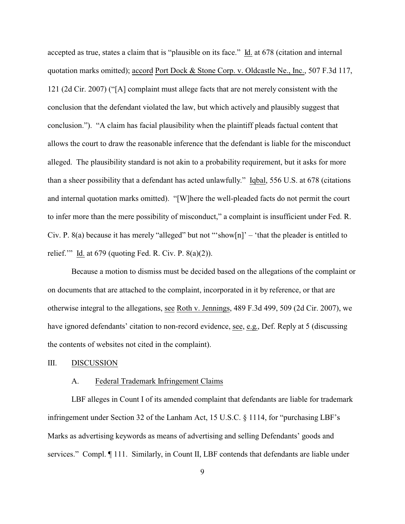accepted as true, states a claim that is "plausible on its face." Id. at 678 (citation and internal quotation marks omitted); accord Port Dock & Stone Corp. v. Oldcastle Ne., Inc., 507 F.3d 117, 121 (2d Cir. 2007) ("[A] complaint must allege facts that are not merely consistent with the conclusion that the defendant violated the law, but which actively and plausibly suggest that conclusion."). "A claim has facial plausibility when the plaintiff pleads factual content that allows the court to draw the reasonable inference that the defendant is liable for the misconduct alleged. The plausibility standard is not akin to a probability requirement, but it asks for more than a sheer possibility that a defendant has acted unlawfully." Iqbal, 556 U.S. at 678 (citations and internal quotation marks omitted). "[W]here the well-pleaded facts do not permit the court to infer more than the mere possibility of misconduct," a complaint is insufficient under Fed. R. Civ. P. 8(a) because it has merely "alleged" but not "'show $[n]$ " – 'that the pleader is entitled to relief." Id. at  $679$  (quoting Fed. R. Civ. P.  $8(a)(2)$ ).

Because a motion to dismiss must be decided based on the allegations of the complaint or on documents that are attached to the complaint, incorporated in it by reference, or that are otherwise integral to the allegations, see Roth v. Jennings, 489 F.3d 499, 509 (2d Cir. 2007), we have ignored defendants' citation to non-record evidence, see, e.g., Def. Reply at 5 (discussing the contents of websites not cited in the complaint).

#### III. DISCUSSION

#### A. Federal Trademark Infringement Claims

LBF alleges in Count I of its amended complaint that defendants are liable for trademark infringement under Section 32 of the Lanham Act, 15 U.S.C. § 1114, for "purchasing LBF's Marks as advertising keywords as means of advertising and selling Defendants' goods and services." Compl. ¶ 111. Similarly, in Count II, LBF contends that defendants are liable under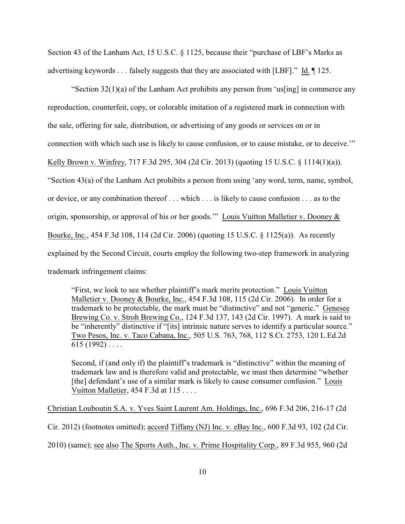Section 43 of the Lanham Act, 15 U.S.C. § 1125, because their "purchase of LBF's Marks as advertising keywords . . . falsely suggests that they are associated with [LBF]." Id. ¶ 125.

"Section  $32(1)(a)$  of the Lanham Act prohibits any person from 'us[ing] in commerce any reproduction, counterfeit, copy, or colorable imitation of a registered mark in connection with the sale, offering for sale, distribution, or advertising of any goods or services on or in connection with which such use is likely to cause confusion, or to cause mistake, or to deceive.'" Kelly Brown v. Winfrey, 717 F.3d 295, 304 (2d Cir. 2013) (quoting 15 U.S.C. § 1114(1)(a)). "Section 43(a) of the Lanham Act prohibits a person from using 'any word, term, name, symbol, or device, or any combination thereof . . . which . . . is likely to cause confusion . . . as to the origin, sponsorship, or approval of his or her goods.'" Louis Vuitton Malletier v. Dooney & Bourke, Inc., 454 F.3d 108, 114 (2d Cir. 2006) (quoting 15 U.S.C. § 1125(a)). As recently explained by the Second Circuit, courts employ the following two-step framework in analyzing trademark infringement claims:

"First, we look to see whether plaintiff's mark merits protection." Louis Vuitton Malletier v. Dooney & Bourke, Inc., 454 F.3d 108, 115 (2d Cir. 2006). In order for a trademark to be protectable, the mark must be "distinctive" and not "generic." Genesee Brewing Co. v. Stroh Brewing Co., 124 F.3d 137, 143 (2d Cir. 1997). A mark is said to be "inherently" distinctive if "[its] intrinsic nature serves to identify a particular source." Two Pesos, Inc. v. Taco Cabana, Inc., 505 U.S. 763, 768, 112 S.Ct. 2753, 120 L.Ed.2d  $615(1992) \ldots$ 

Second, if (and only if) the plaintiff's trademark is "distinctive" within the meaning of trademark law and is therefore valid and protectable, we must then determine "whether [the] defendant's use of a similar mark is likely to cause consumer confusion." Louis Vuitton Malletier, 454 F.3d at 115 . . . .

Christian Louboutin S.A. v. Yves Saint Laurent Am. Holdings, Inc., 696 F.3d 206, 216-17 (2d

Cir. 2012) (footnotes omitted); accord Tiffany (NJ) Inc. v. eBay Inc., 600 F.3d 93, 102 (2d Cir.

2010) (same); see also The Sports Auth., Inc. v. Prime Hospitality Corp., 89 F.3d 955, 960 (2d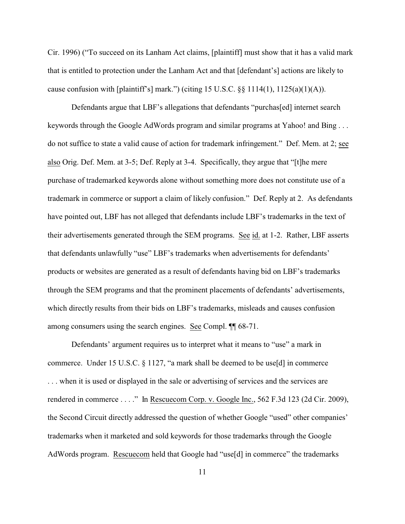Cir. 1996) ("To succeed on its Lanham Act claims, [plaintiff] must show that it has a valid mark that is entitled to protection under the Lanham Act and that [defendant's] actions are likely to cause confusion with [plaintiff's] mark.") (citing 15 U.S.C.  $\S$ § 1114(1), 1125(a)(1)(A)).

Defendants argue that LBF's allegations that defendants "purchas[ed] internet search keywords through the Google AdWords program and similar programs at Yahoo! and Bing . . . do not suffice to state a valid cause of action for trademark infringement." Def. Mem. at 2; see also Orig. Def. Mem. at 3-5; Def. Reply at 3-4. Specifically, they argue that "[t]he mere purchase of trademarked keywords alone without something more does not constitute use of a trademark in commerce or support a claim of likely confusion." Def. Reply at 2. As defendants have pointed out, LBF has not alleged that defendants include LBF's trademarks in the text of their advertisements generated through the SEM programs. See id. at 1-2. Rather, LBF asserts that defendants unlawfully "use" LBF's trademarks when advertisements for defendants' products or websites are generated as a result of defendants having bid on LBF's trademarks through the SEM programs and that the prominent placements of defendants' advertisements, which directly results from their bids on LBF's trademarks, misleads and causes confusion among consumers using the search engines. See Compl. ¶¶ 68-71.

Defendants' argument requires us to interpret what it means to "use" a mark in commerce. Under 15 U.S.C. § 1127, "a mark shall be deemed to be use[d] in commerce . . . when it is used or displayed in the sale or advertising of services and the services are rendered in commerce . . . ." In Rescuecom Corp. v. Google Inc., 562 F.3d 123 (2d Cir. 2009), the Second Circuit directly addressed the question of whether Google "used" other companies' trademarks when it marketed and sold keywords for those trademarks through the Google AdWords program. Rescuecom held that Google had "use[d] in commerce" the trademarks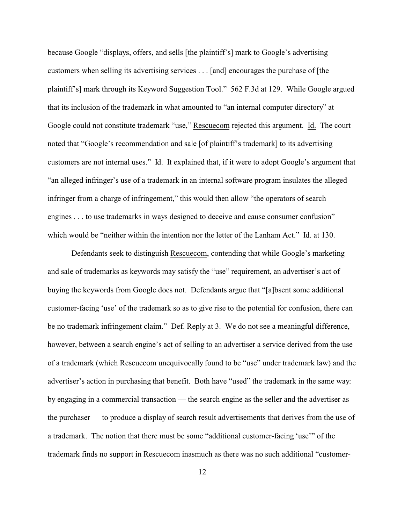because Google "displays, offers, and sells [the plaintiff's] mark to Google's advertising customers when selling its advertising services . . . [and] encourages the purchase of [the plaintiff's] mark through its Keyword Suggestion Tool." 562 F.3d at 129. While Google argued that its inclusion of the trademark in what amounted to "an internal computer directory" at Google could not constitute trademark "use," Rescuecom rejected this argument. Id. The court noted that "Google's recommendation and sale [of plaintiff's trademark] to its advertising customers are not internal uses." Id. It explained that, if it were to adopt Google's argument that "an alleged infringer's use of a trademark in an internal software program insulates the alleged infringer from a charge of infringement," this would then allow "the operators of search engines . . . to use trademarks in ways designed to deceive and cause consumer confusion" which would be "neither within the intention nor the letter of the Lanham Act." Id. at 130.

Defendants seek to distinguish Rescuecom, contending that while Google's marketing and sale of trademarks as keywords may satisfy the "use" requirement, an advertiser's act of buying the keywords from Google does not. Defendants argue that "[a]bsent some additional customer-facing 'use' of the trademark so as to give rise to the potential for confusion, there can be no trademark infringement claim." Def. Reply at 3. We do not see a meaningful difference, however, between a search engine's act of selling to an advertiser a service derived from the use of a trademark (which Rescuecom unequivocally found to be "use" under trademark law) and the advertiser's action in purchasing that benefit. Both have "used" the trademark in the same way: by engaging in a commercial transaction — the search engine as the seller and the advertiser as the purchaser — to produce a display of search result advertisements that derives from the use of a trademark. The notion that there must be some "additional customer-facing 'use'" of the trademark finds no support in Rescuecom inasmuch as there was no such additional "customer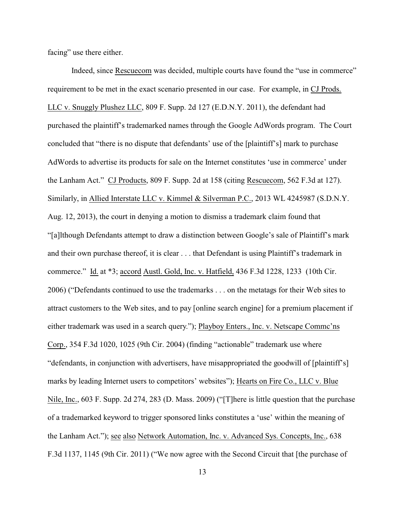facing" use there either.

Indeed, since Rescuecom was decided, multiple courts have found the "use in commerce" requirement to be met in the exact scenario presented in our case. For example, in CJ Prods. LLC v. Snuggly Plushez LLC, 809 F. Supp. 2d 127 (E.D.N.Y. 2011), the defendant had purchased the plaintiff's trademarked names through the Google AdWords program. The Court concluded that "there is no dispute that defendants' use of the [plaintiff's] mark to purchase AdWords to advertise its products for sale on the Internet constitutes 'use in commerce' under the Lanham Act." CJ Products, 809 F. Supp. 2d at 158 (citing Rescuecom, 562 F.3d at 127). Similarly, in Allied Interstate LLC v. Kimmel & Silverman P.C., 2013 WL 4245987 (S.D.N.Y. Aug. 12, 2013), the court in denying a motion to dismiss a trademark claim found that "[a]lthough Defendants attempt to draw a distinction between Google's sale of Plaintiff's mark and their own purchase thereof, it is clear . . . that Defendant is using Plaintiff's trademark in commerce." Id. at \*3; accord Austl. Gold, Inc. v. Hatfield, 436 F.3d 1228, 1233 (10th Cir. 2006) ("Defendants continued to use the trademarks . . . on the metatags for their Web sites to attract customers to the Web sites, and to pay [online search engine] for a premium placement if either trademark was used in a search query."); Playboy Enters., Inc. v. Netscape Commc'ns Corp., 354 F.3d 1020, 1025 (9th Cir. 2004) (finding "actionable" trademark use where "defendants, in conjunction with advertisers, have misappropriated the goodwill of [plaintiff's] marks by leading Internet users to competitors' websites"); Hearts on Fire Co., LLC v. Blue Nile, Inc., 603 F. Supp. 2d 274, 283 (D. Mass. 2009) ("[T]here is little question that the purchase of a trademarked keyword to trigger sponsored links constitutes a 'use' within the meaning of the Lanham Act."); see also Network Automation, Inc. v. Advanced Sys. Concepts, Inc., 638 F.3d 1137, 1145 (9th Cir. 2011) ("We now agree with the Second Circuit that [the purchase of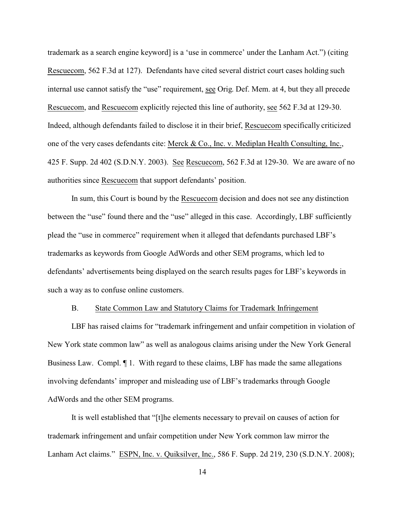trademark as a search engine keyword] is a 'use in commerce' under the Lanham Act.") (citing Rescuecom, 562 F.3d at 127). Defendants have cited several district court cases holding such internal use cannot satisfy the "use" requirement, see Orig. Def. Mem. at 4, but they all precede Rescuecom, and Rescuecom explicitly rejected this line of authority, see 562 F.3d at 129-30. Indeed, although defendants failed to disclose it in their brief, Rescuecom specifically criticized one of the very cases defendants cite: Merck & Co., Inc. v. Mediplan Health Consulting, Inc., 425 F. Supp. 2d 402 (S.D.N.Y. 2003). See Rescuecom, 562 F.3d at 129-30. We are aware of no authorities since Rescuecom that support defendants' position.

In sum, this Court is bound by the Rescuecom decision and does not see any distinction between the "use" found there and the "use" alleged in this case. Accordingly, LBF sufficiently plead the "use in commerce" requirement when it alleged that defendants purchased LBF's trademarks as keywords from Google AdWords and other SEM programs, which led to defendants' advertisements being displayed on the search results pages for LBF's keywords in such a way as to confuse online customers.

#### B. State Common Law and Statutory Claims for Trademark Infringement

LBF has raised claims for "trademark infringement and unfair competition in violation of New York state common law" as well as analogous claims arising under the New York General Business Law. Compl. ¶ 1. With regard to these claims, LBF has made the same allegations involving defendants' improper and misleading use of LBF's trademarks through Google AdWords and the other SEM programs.

It is well established that "[t]he elements necessary to prevail on causes of action for trademark infringement and unfair competition under New York common law mirror the Lanham Act claims." ESPN, Inc. v. Quiksilver, Inc., 586 F. Supp. 2d 219, 230 (S.D.N.Y. 2008);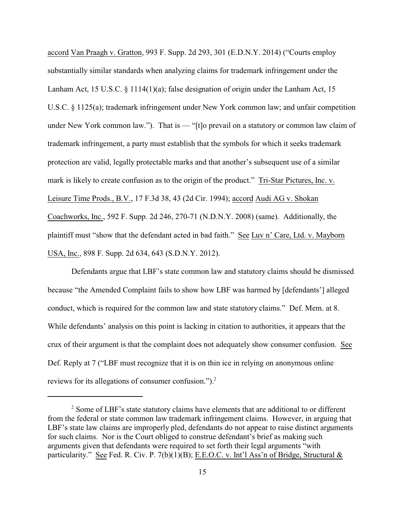accord Van Praagh v. Gratton, 993 F. Supp. 2d 293, 301 (E.D.N.Y. 2014) ("Courts employ substantially similar standards when analyzing claims for trademark infringement under the Lanham Act, 15 U.S.C. § 1114(1)(a); false designation of origin under the Lanham Act, 15 U.S.C. § 1125(a); trademark infringement under New York common law; and unfair competition under New York common law."). That is — "[t]o prevail on a statutory or common law claim of trademark infringement, a party must establish that the symbols for which it seeks trademark protection are valid, legally protectable marks and that another's subsequent use of a similar mark is likely to create confusion as to the origin of the product." Tri-Star Pictures, Inc. v. Leisure Time Prods., B.V., 17 F.3d 38, 43 (2d Cir. 1994); accord Audi AG v. Shokan Coachworks, Inc., 592 F. Supp. 2d 246, 270-71 (N.D.N.Y. 2008) (same). Additionally, the plaintiff must "show that the defendant acted in bad faith." See Luv n' Care, Ltd. v. Mayborn USA, Inc., 898 F. Supp. 2d 634, 643 (S.D.N.Y. 2012).

Defendants argue that LBF's state common law and statutory claims should be dismissed because "the Amended Complaint fails to show how LBF was harmed by [defendants'] alleged conduct, which is required for the common law and state statutory claims." Def. Mem. at 8. While defendants' analysis on this point is lacking in citation to authorities, it appears that the crux of their argument is that the complaint does not adequately show consumer confusion. See Def. Reply at 7 ("LBF must recognize that it is on thin ice in relying on anonymous online reviews for its allegations of consumer confusion.").<sup>2</sup>

<sup>&</sup>lt;sup>2</sup> Some of LBF's state statutory claims have elements that are additional to or different from the federal or state common law trademark infringement claims. However, in arguing that LBF's state law claims are improperly pled, defendants do not appear to raise distinct arguments for such claims. Nor is the Court obliged to construe defendant's brief as making such arguments given that defendants were required to set forth their legal arguments "with particularity." See Fed. R. Civ. P. 7(b)(1)(B); E.E.O.C. v. Int'l Ass'n of Bridge, Structural &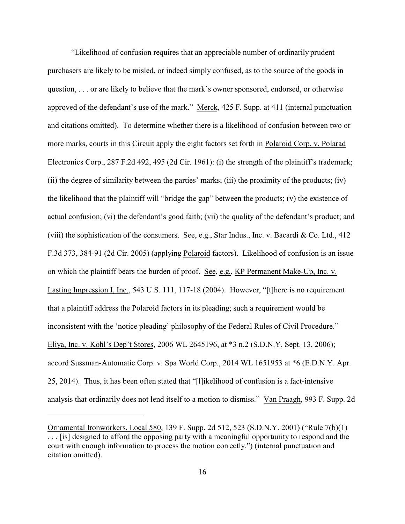"Likelihood of confusion requires that an appreciable number of ordinarily prudent purchasers are likely to be misled, or indeed simply confused, as to the source of the goods in question, . . . or are likely to believe that the mark's owner sponsored, endorsed, or otherwise approved of the defendant's use of the mark." Merck, 425 F. Supp. at 411 (internal punctuation and citations omitted). To determine whether there is a likelihood of confusion between two or more marks, courts in this Circuit apply the eight factors set forth in Polaroid Corp. v. Polarad Electronics Corp., 287 F.2d 492, 495 (2d Cir. 1961): (i) the strength of the plaintiff's trademark; (ii) the degree of similarity between the parties' marks; (iii) the proximity of the products; (iv) the likelihood that the plaintiff will "bridge the gap" between the products; (v) the existence of actual confusion; (vi) the defendant's good faith; (vii) the quality of the defendant's product; and (viii) the sophistication of the consumers. See, e.g., Star Indus., Inc. v. Bacardi & Co. Ltd., 412 F.3d 373, 384-91 (2d Cir. 2005) (applying Polaroid factors). Likelihood of confusion is an issue on which the plaintiff bears the burden of proof. See, e.g., KP Permanent Make-Up, Inc. v. Lasting Impression I, Inc., 543 U.S. 111, 117-18 (2004). However, "[t]here is no requirement that a plaintiff address the Polaroid factors in its pleading; such a requirement would be inconsistent with the 'notice pleading' philosophy of the Federal Rules of Civil Procedure." Eliya, Inc. v. Kohl's Dep't Stores, 2006 WL 2645196, at \*3 n.2 (S.D.N.Y. Sept. 13, 2006); accord Sussman-Automatic Corp. v. Spa World Corp., 2014 WL 1651953 at \*6 (E.D.N.Y. Apr. 25, 2014). Thus, it has been often stated that "[l]ikelihood of confusion is a fact-intensive analysis that ordinarily does not lend itself to a motion to dismiss." Van Praagh, 993 F. Supp. 2d

Ornamental Ironworkers, Local 580, 139 F. Supp. 2d 512, 523 (S.D.N.Y. 2001) ("Rule 7(b)(1) . . . [is] designed to afford the opposing party with a meaningful opportunity to respond and the court with enough information to process the motion correctly.") (internal punctuation and citation omitted).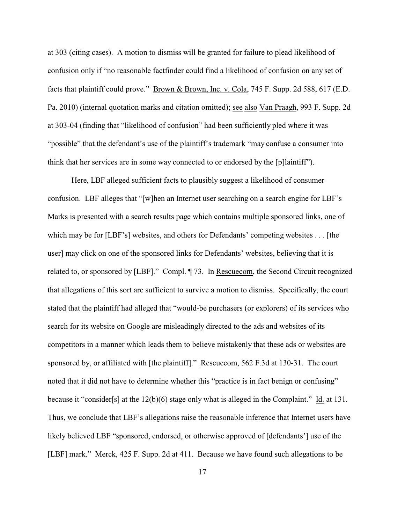at 303 (citing cases). A motion to dismiss will be granted for failure to plead likelihood of confusion only if "no reasonable factfinder could find a likelihood of confusion on any set of facts that plaintiff could prove." Brown & Brown, Inc. v. Cola, 745 F. Supp. 2d 588, 617 (E.D. Pa. 2010) (internal quotation marks and citation omitted); see also Van Praagh, 993 F. Supp. 2d at 303-04 (finding that "likelihood of confusion" had been sufficiently pled where it was "possible" that the defendant's use of the plaintiff's trademark "may confuse a consumer into think that her services are in some way connected to or endorsed by the [p]laintiff").

Here, LBF alleged sufficient facts to plausibly suggest a likelihood of consumer confusion. LBF alleges that "[w]hen an Internet user searching on a search engine for LBF's Marks is presented with a search results page which contains multiple sponsored links, one of which may be for [LBF's] websites, and others for Defendants' competing websites . . . [the user] may click on one of the sponsored links for Defendants' websites, believing that it is related to, or sponsored by [LBF]." Compl. ¶ 73. In Rescuecom, the Second Circuit recognized that allegations of this sort are sufficient to survive a motion to dismiss. Specifically, the court stated that the plaintiff had alleged that "would-be purchasers (or explorers) of its services who search for its website on Google are misleadingly directed to the ads and websites of its competitors in a manner which leads them to believe mistakenly that these ads or websites are sponsored by, or affiliated with [the plaintiff]." Rescuecom, 562 F.3d at 130-31. The court noted that it did not have to determine whether this "practice is in fact benign or confusing" because it "consider[s] at the 12(b)(6) stage only what is alleged in the Complaint." Id. at 131. Thus, we conclude that LBF's allegations raise the reasonable inference that Internet users have likely believed LBF "sponsored, endorsed, or otherwise approved of [defendants'] use of the [LBF] mark." Merck, 425 F. Supp. 2d at 411. Because we have found such allegations to be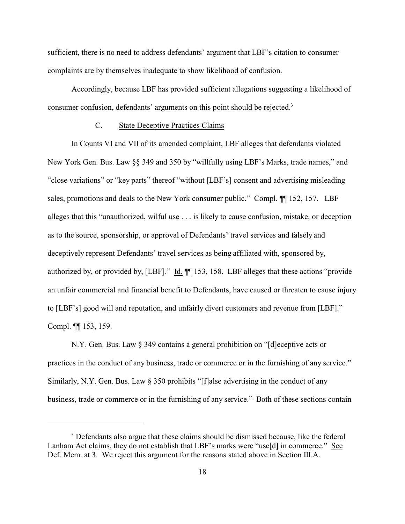sufficient, there is no need to address defendants' argument that LBF's citation to consumer complaints are by themselves inadequate to show likelihood of confusion.

Accordingly, because LBF has provided sufficient allegations suggesting a likelihood of consumer confusion, defendants' arguments on this point should be rejected.<sup>3</sup>

## C. State Deceptive Practices Claims

In Counts VI and VII of its amended complaint, LBF alleges that defendants violated New York Gen. Bus. Law §§ 349 and 350 by "willfully using LBF's Marks, trade names," and "close variations" or "key parts" thereof "without [LBF's] consent and advertising misleading sales, promotions and deals to the New York consumer public." Compl.  $\P$  152, 157. LBF alleges that this "unauthorized, wilful use . . . is likely to cause confusion, mistake, or deception as to the source, sponsorship, or approval of Defendants' travel services and falsely and deceptively represent Defendants' travel services as being affiliated with, sponsored by, authorized by, or provided by, [LBF]." Id. ¶¶ 153, 158. LBF alleges that these actions "provide an unfair commercial and financial benefit to Defendants, have caused or threaten to cause injury to [LBF's] good will and reputation, and unfairly divert customers and revenue from [LBF]." Compl. ¶¶ 153, 159.

N.Y. Gen. Bus. Law § 349 contains a general prohibition on "[d]eceptive acts or practices in the conduct of any business, trade or commerce or in the furnishing of any service." Similarly, N.Y. Gen. Bus. Law  $\S$  350 prohibits "[f]alse advertising in the conduct of any business, trade or commerce or in the furnishing of any service." Both of these sections contain

<sup>&</sup>lt;sup>3</sup> Defendants also argue that these claims should be dismissed because, like the federal Lanham Act claims, they do not establish that LBF's marks were "use[d] in commerce." See Def. Mem. at 3. We reject this argument for the reasons stated above in Section III.A.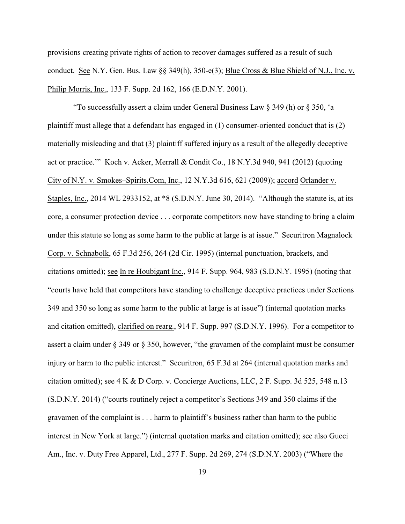provisions creating private rights of action to recover damages suffered as a result of such conduct. See N.Y. Gen. Bus. Law §§ 349(h), 350-e(3); Blue Cross & Blue Shield of N.J., Inc. v. Philip Morris, Inc., 133 F. Supp. 2d 162, 166 (E.D.N.Y. 2001).

 "To successfully assert a claim under General Business Law § 349 (h) or § 350, 'a plaintiff must allege that a defendant has engaged in (1) consumer-oriented conduct that is (2) materially misleading and that (3) plaintiff suffered injury as a result of the allegedly deceptive act or practice.'" Koch v. Acker, Merrall & Condit Co., 18 N.Y.3d 940, 941 (2012) (quoting City of N.Y. v. Smokes–Spirits.Com, Inc., 12 N.Y.3d 616, 621 (2009)); accord Orlander v. Staples, Inc., 2014 WL 2933152, at \*8 (S.D.N.Y. June 30, 2014). "Although the statute is, at its core, a consumer protection device . . . corporate competitors now have standing to bring a claim under this statute so long as some harm to the public at large is at issue." Securitron Magnalock Corp. v. Schnabolk, 65 F.3d 256, 264 (2d Cir. 1995) (internal punctuation, brackets, and citations omitted); see In re Houbigant Inc., 914 F. Supp. 964, 983 (S.D.N.Y. 1995) (noting that "courts have held that competitors have standing to challenge deceptive practices under Sections 349 and 350 so long as some harm to the public at large is at issue") (internal quotation marks and citation omitted), clarified on rearg., 914 F. Supp. 997 (S.D.N.Y. 1996). For a competitor to assert a claim under § 349 or § 350, however, "the gravamen of the complaint must be consumer injury or harm to the public interest." Securitron, 65 F.3d at 264 (internal quotation marks and citation omitted); see 4 K & D Corp. v. Concierge Auctions, LLC, 2 F. Supp. 3d 525, 548 n.13 (S.D.N.Y. 2014) ("courts routinely reject a competitor's Sections 349 and 350 claims if the gravamen of the complaint is . . . harm to plaintiff's business rather than harm to the public interest in New York at large.") (internal quotation marks and citation omitted); see also Gucci Am., Inc. v. Duty Free Apparel, Ltd., 277 F. Supp. 2d 269, 274 (S.D.N.Y. 2003) ("Where the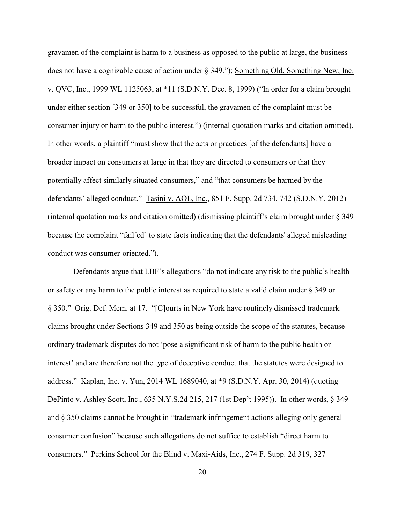gravamen of the complaint is harm to a business as opposed to the public at large, the business does not have a cognizable cause of action under § 349."); Something Old, Something New, Inc. v. QVC, Inc., 1999 WL 1125063, at \*11 (S.D.N.Y. Dec. 8, 1999) ("In order for a claim brought under either section [349 or 350] to be successful, the gravamen of the complaint must be consumer injury or harm to the public interest.") (internal quotation marks and citation omitted). In other words, a plaintiff "must show that the acts or practices [of the defendants] have a broader impact on consumers at large in that they are directed to consumers or that they potentially affect similarly situated consumers," and "that consumers be harmed by the defendants' alleged conduct." Tasini v. AOL, Inc., 851 F. Supp. 2d 734, 742 (S.D.N.Y. 2012) (internal quotation marks and citation omitted) (dismissing plaintiff's claim brought under § 349 because the complaint "fail[ed] to state facts indicating that the defendants' alleged misleading conduct was consumer-oriented.").

 Defendants argue that LBF's allegations "do not indicate any risk to the public's health or safety or any harm to the public interest as required to state a valid claim under § 349 or § 350." Orig. Def. Mem. at 17. "[C]ourts in New York have routinely dismissed trademark claims brought under Sections 349 and 350 as being outside the scope of the statutes, because ordinary trademark disputes do not 'pose a significant risk of harm to the public health or interest' and are therefore not the type of deceptive conduct that the statutes were designed to address." Kaplan, Inc. v. Yun, 2014 WL 1689040, at \*9 (S.D.N.Y. Apr. 30, 2014) (quoting DePinto v. Ashley Scott, Inc., 635 N.Y.S.2d 215, 217 (1st Dep't 1995)). In other words, § 349 and § 350 claims cannot be brought in "trademark infringement actions alleging only general consumer confusion" because such allegations do not suffice to establish "direct harm to consumers." Perkins School for the Blind v. Maxi-Aids, Inc., 274 F. Supp. 2d 319, 327

20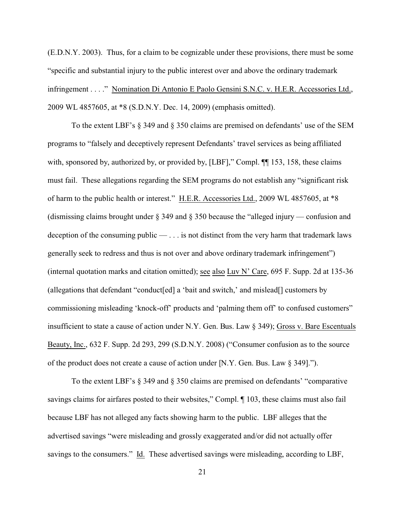(E.D.N.Y. 2003). Thus, for a claim to be cognizable under these provisions, there must be some "specific and substantial injury to the public interest over and above the ordinary trademark infringement . . . ." Nomination Di Antonio E Paolo Gensini S.N.C. v. H.E.R. Accessories Ltd., 2009 WL 4857605, at \*8 (S.D.N.Y. Dec. 14, 2009) (emphasis omitted).

To the extent LBF's § 349 and § 350 claims are premised on defendants' use of the SEM programs to "falsely and deceptively represent Defendants' travel services as being affiliated with, sponsored by, authorized by, or provided by, [LBF]," Compl.  $\P$ [153, 158, these claims must fail. These allegations regarding the SEM programs do not establish any "significant risk of harm to the public health or interest." H.E.R. Accessories Ltd., 2009 WL 4857605, at \*8 (dismissing claims brought under § 349 and § 350 because the "alleged injury — confusion and deception of the consuming public  $-\ldots$  is not distinct from the very harm that trademark laws generally seek to redress and thus is not over and above ordinary trademark infringement") (internal quotation marks and citation omitted); see also Luv N' Care, 695 F. Supp. 2d at 135-36 (allegations that defendant "conduct[ed] a 'bait and switch,' and mislead[] customers by commissioning misleading 'knock-off' products and 'palming them off' to confused customers" insufficient to state a cause of action under N.Y. Gen. Bus. Law § 349); Gross v. Bare Escentuals Beauty, Inc., 632 F. Supp. 2d 293, 299 (S.D.N.Y. 2008) ("Consumer confusion as to the source of the product does not create a cause of action under [N.Y. Gen. Bus. Law § 349].").

To the extent LBF's § 349 and § 350 claims are premised on defendants' "comparative savings claims for airfares posted to their websites," Compl.  $\P$  103, these claims must also fail because LBF has not alleged any facts showing harm to the public. LBF alleges that the advertised savings "were misleading and grossly exaggerated and/or did not actually offer savings to the consumers." Id. These advertised savings were misleading, according to LBF,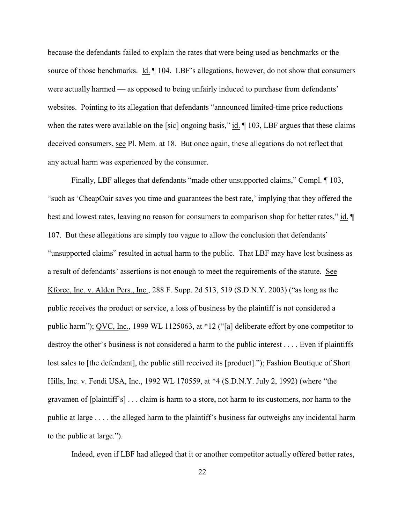because the defendants failed to explain the rates that were being used as benchmarks or the source of those benchmarks. Id.  $\P$  104. LBF's allegations, however, do not show that consumers were actually harmed — as opposed to being unfairly induced to purchase from defendants' websites. Pointing to its allegation that defendants "announced limited-time price reductions when the rates were available on the [sic] ongoing basis," id.  $\P$  103, LBF argues that these claims deceived consumers, see Pl. Mem. at 18. But once again, these allegations do not reflect that any actual harm was experienced by the consumer.

Finally, LBF alleges that defendants "made other unsupported claims," Compl.  $\P$  103, "such as 'CheapOair saves you time and guarantees the best rate,' implying that they offered the best and lowest rates, leaving no reason for consumers to comparison shop for better rates," id.  $\P$ 107. But these allegations are simply too vague to allow the conclusion that defendants' "unsupported claims" resulted in actual harm to the public. That LBF may have lost business as a result of defendants' assertions is not enough to meet the requirements of the statute. See Kforce, Inc. v. Alden Pers., Inc., 288 F. Supp. 2d 513, 519 (S.D.N.Y. 2003) ("as long as the public receives the product or service, a loss of business by the plaintiff is not considered a public harm"); QVC, Inc., 1999 WL 1125063, at \*12 ("[a] deliberate effort by one competitor to destroy the other's business is not considered a harm to the public interest . . . . Even if plaintiffs lost sales to [the defendant], the public still received its [product]."); Fashion Boutique of Short Hills, Inc. v. Fendi USA, Inc., 1992 WL 170559, at \*4 (S.D.N.Y. July 2, 1992) (where "the gravamen of [plaintiff's] . . . claim is harm to a store, not harm to its customers, nor harm to the public at large . . . . the alleged harm to the plaintiff's business far outweighs any incidental harm to the public at large.").

Indeed, even if LBF had alleged that it or another competitor actually offered better rates,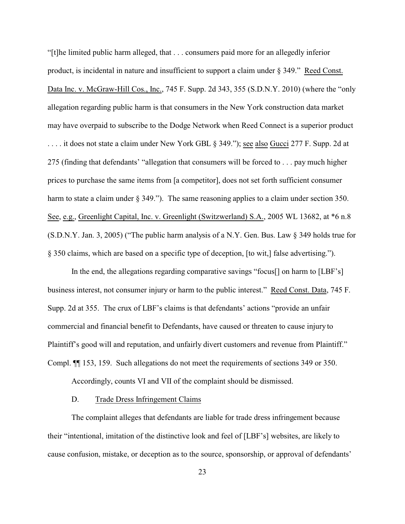"[t]he limited public harm alleged, that . . . consumers paid more for an allegedly inferior product, is incidental in nature and insufficient to support a claim under § 349." Reed Const. Data Inc. v. McGraw-Hill Cos., Inc., 745 F. Supp. 2d 343, 355 (S.D.N.Y. 2010) (where the "only allegation regarding public harm is that consumers in the New York construction data market may have overpaid to subscribe to the Dodge Network when Reed Connect is a superior product . . . . it does not state a claim under New York GBL § 349."); see also Gucci 277 F. Supp. 2d at 275 (finding that defendants' "allegation that consumers will be forced to . . . pay much higher prices to purchase the same items from [a competitor], does not set forth sufficient consumer harm to state a claim under § 349."). The same reasoning applies to a claim under section 350. See, e.g., Greenlight Capital, Inc. v. Greenlight (Switzwerland) S.A., 2005 WL 13682, at \*6 n.8 (S.D.N.Y. Jan. 3, 2005) ("The public harm analysis of a N.Y. Gen. Bus. Law § 349 holds true for § 350 claims, which are based on a specific type of deception, [to wit,] false advertising.").

In the end, the allegations regarding comparative savings "focus[] on harm to [LBF's] business interest, not consumer injury or harm to the public interest." Reed Const. Data, 745 F. Supp. 2d at 355. The crux of LBF's claims is that defendants' actions "provide an unfair commercial and financial benefit to Defendants, have caused or threaten to cause injury to Plaintiff's good will and reputation, and unfairly divert customers and revenue from Plaintiff." Compl. ¶¶ 153, 159. Such allegations do not meet the requirements of sections 349 or 350.

Accordingly, counts VI and VII of the complaint should be dismissed.

#### D. Trade Dress Infringement Claims

The complaint alleges that defendants are liable for trade dress infringement because their "intentional, imitation of the distinctive look and feel of [LBF's] websites, are likely to cause confusion, mistake, or deception as to the source, sponsorship, or approval of defendants'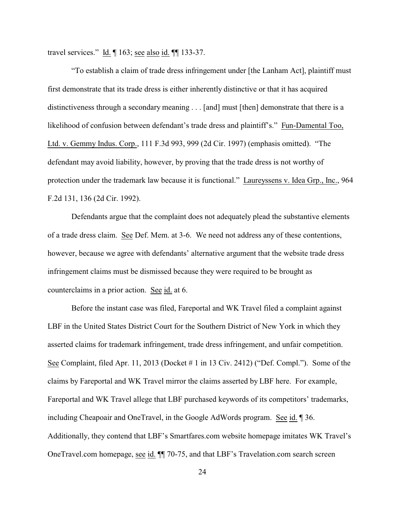travel services." Id. ¶ 163; see also id. ¶¶ 133-37.

"To establish a claim of trade dress infringement under [the Lanham Act], plaintiff must first demonstrate that its trade dress is either inherently distinctive or that it has acquired distinctiveness through a secondary meaning . . . [and] must [then] demonstrate that there is a likelihood of confusion between defendant's trade dress and plaintiff's." Fun-Damental Too, Ltd. v. Gemmy Indus. Corp., 111 F.3d 993, 999 (2d Cir. 1997) (emphasis omitted). "The defendant may avoid liability, however, by proving that the trade dress is not worthy of protection under the trademark law because it is functional." Laureyssens v. Idea Grp., Inc., 964 F.2d 131, 136 (2d Cir. 1992).

Defendants argue that the complaint does not adequately plead the substantive elements of a trade dress claim. See Def. Mem. at 3-6. We need not address any of these contentions, however, because we agree with defendants' alternative argument that the website trade dress infringement claims must be dismissed because they were required to be brought as counterclaims in a prior action. See id. at 6.

Before the instant case was filed, Fareportal and WK Travel filed a complaint against LBF in the United States District Court for the Southern District of New York in which they asserted claims for trademark infringement, trade dress infringement, and unfair competition. See Complaint, filed Apr. 11, 2013 (Docket # 1 in 13 Civ. 2412) ("Def. Compl."). Some of the claims by Fareportal and WK Travel mirror the claims asserted by LBF here. For example, Fareportal and WK Travel allege that LBF purchased keywords of its competitors' trademarks, including Cheapoair and OneTravel, in the Google AdWords program. See id. ¶ 36. Additionally, they contend that LBF's Smartfares.com website homepage imitates WK Travel's OneTravel.com homepage, see id. ¶¶ 70-75, and that LBF's Travelation.com search screen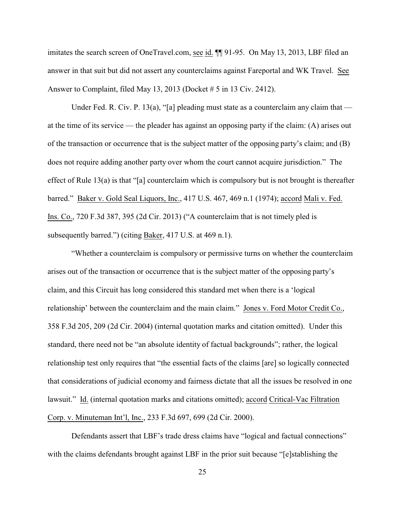imitates the search screen of OneTravel.com, see id. ¶¶ 91-95. On May 13, 2013, LBF filed an answer in that suit but did not assert any counterclaims against Fareportal and WK Travel. See Answer to Complaint, filed May 13, 2013 (Docket # 5 in 13 Civ. 2412).

Under Fed. R. Civ. P. 13(a), "[a] pleading must state as a counterclaim any claim that at the time of its service — the pleader has against an opposing party if the claim: (A) arises out of the transaction or occurrence that is the subject matter of the opposing party's claim; and (B) does not require adding another party over whom the court cannot acquire jurisdiction." The effect of Rule 13(a) is that "[a] counterclaim which is compulsory but is not brought is thereafter barred." Baker v. Gold Seal Liquors, Inc., 417 U.S. 467, 469 n.1 (1974); accord Mali v. Fed. Ins. Co., 720 F.3d 387, 395 (2d Cir. 2013) ("A counterclaim that is not timely pled is subsequently barred.") (citing Baker, 417 U.S. at 469 n.1).

"Whether a counterclaim is compulsory or permissive turns on whether the counterclaim arises out of the transaction or occurrence that is the subject matter of the opposing party's claim, and this Circuit has long considered this standard met when there is a 'logical relationship' between the counterclaim and the main claim." Jones v. Ford Motor Credit Co., 358 F.3d 205, 209 (2d Cir. 2004) (internal quotation marks and citation omitted). Under this standard, there need not be "an absolute identity of factual backgrounds"; rather, the logical relationship test only requires that "the essential facts of the claims [are] so logically connected that considerations of judicial economy and fairness dictate that all the issues be resolved in one lawsuit." Id. (internal quotation marks and citations omitted); accord Critical-Vac Filtration Corp. v. Minuteman Int'l, Inc., 233 F.3d 697, 699 (2d Cir. 2000).

Defendants assert that LBF's trade dress claims have "logical and factual connections" with the claims defendants brought against LBF in the prior suit because "[e]stablishing the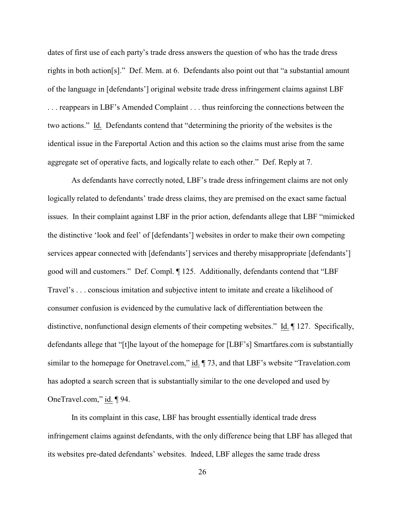dates of first use of each party's trade dress answers the question of who has the trade dress rights in both action[s]." Def. Mem. at 6. Defendants also point out that "a substantial amount of the language in [defendants'] original website trade dress infringement claims against LBF . . . reappears in LBF's Amended Complaint . . . thus reinforcing the connections between the two actions." Id. Defendants contend that "determining the priority of the websites is the identical issue in the Fareportal Action and this action so the claims must arise from the same aggregate set of operative facts, and logically relate to each other." Def. Reply at 7.

As defendants have correctly noted, LBF's trade dress infringement claims are not only logically related to defendants' trade dress claims, they are premised on the exact same factual issues. In their complaint against LBF in the prior action, defendants allege that LBF "mimicked the distinctive 'look and feel' of [defendants'] websites in order to make their own competing services appear connected with [defendants'] services and thereby misappropriate [defendants'] good will and customers." Def. Compl. ¶ 125. Additionally, defendants contend that "LBF Travel's . . . conscious imitation and subjective intent to imitate and create a likelihood of consumer confusion is evidenced by the cumulative lack of differentiation between the distinctive, nonfunctional design elements of their competing websites." Id. ¶ 127. Specifically, defendants allege that "[t]he layout of the homepage for [LBF's] Smartfares.com is substantially similar to the homepage for Onetravel.com," id.  $\P$  73, and that LBF's website "Travelation.com has adopted a search screen that is substantially similar to the one developed and used by OneTravel.com," id. ¶ 94.

In its complaint in this case, LBF has brought essentially identical trade dress infringement claims against defendants, with the only difference being that LBF has alleged that its websites pre-dated defendants' websites. Indeed, LBF alleges the same trade dress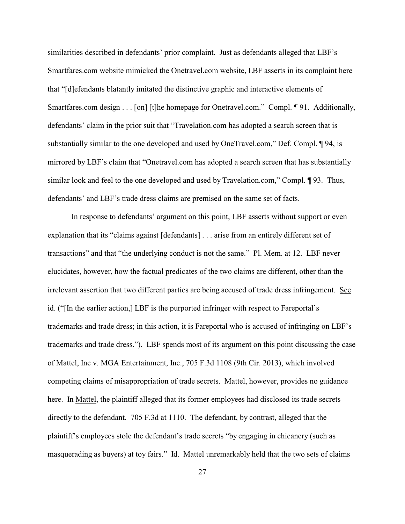similarities described in defendants' prior complaint. Just as defendants alleged that LBF's Smartfares.com website mimicked the Onetravel.com website, LBF asserts in its complaint here that "[d]efendants blatantly imitated the distinctive graphic and interactive elements of Smartfares.com design . . . [on] [t]he homepage for Onetravel.com." Compl. ¶ 91. Additionally, defendants' claim in the prior suit that "Travelation.com has adopted a search screen that is substantially similar to the one developed and used by OneTravel.com," Def. Compl. ¶ 94, is mirrored by LBF's claim that "Onetravel.com has adopted a search screen that has substantially similar look and feel to the one developed and used by Travelation.com," Compl. ¶ 93. Thus, defendants' and LBF's trade dress claims are premised on the same set of facts.

In response to defendants' argument on this point, LBF asserts without support or even explanation that its "claims against [defendants] . . . arise from an entirely different set of transactions" and that "the underlying conduct is not the same." Pl. Mem. at 12. LBF never elucidates, however, how the factual predicates of the two claims are different, other than the irrelevant assertion that two different parties are being accused of trade dress infringement. See id. ("[In the earlier action,] LBF is the purported infringer with respect to Fareportal's trademarks and trade dress; in this action, it is Fareportal who is accused of infringing on LBF's trademarks and trade dress."). LBF spends most of its argument on this point discussing the case of Mattel, Inc v. MGA Entertainment, Inc., 705 F.3d 1108 (9th Cir. 2013), which involved competing claims of misappropriation of trade secrets. Mattel, however, provides no guidance here. In Mattel, the plaintiff alleged that its former employees had disclosed its trade secrets directly to the defendant. 705 F.3d at 1110. The defendant, by contrast, alleged that the plaintiff's employees stole the defendant's trade secrets "by engaging in chicanery (such as masquerading as buyers) at toy fairs." Id. Mattel unremarkably held that the two sets of claims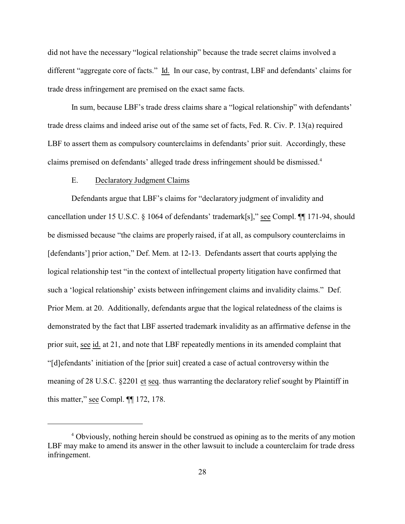did not have the necessary "logical relationship" because the trade secret claims involved a different "aggregate core of facts." Id. In our case, by contrast, LBF and defendants' claims for trade dress infringement are premised on the exact same facts.

In sum, because LBF's trade dress claims share a "logical relationship" with defendants' trade dress claims and indeed arise out of the same set of facts, Fed. R. Civ. P. 13(a) required LBF to assert them as compulsory counterclaims in defendants' prior suit. Accordingly, these claims premised on defendants' alleged trade dress infringement should be dismissed.<sup>4</sup>

### E. Declaratory Judgment Claims

Defendants argue that LBF's claims for "declaratory judgment of invalidity and cancellation under 15 U.S.C. § 1064 of defendants' trademark[s]," see Compl. ¶¶ 171-94, should be dismissed because "the claims are properly raised, if at all, as compulsory counterclaims in [defendants'] prior action," Def. Mem. at 12-13. Defendants assert that courts applying the logical relationship test "in the context of intellectual property litigation have confirmed that such a 'logical relationship' exists between infringement claims and invalidity claims." Def. Prior Mem. at 20. Additionally, defendants argue that the logical relatedness of the claims is demonstrated by the fact that LBF asserted trademark invalidity as an affirmative defense in the prior suit, see id. at 21, and note that LBF repeatedly mentions in its amended complaint that "[d]efendants' initiation of the [prior suit] created a case of actual controversy within the meaning of 28 U.S.C. §2201 et seq. thus warranting the declaratory relief sought by Plaintiff in this matter," see Compl. ¶¶ 172, 178.

<sup>&</sup>lt;sup>4</sup> Obviously, nothing herein should be construed as opining as to the merits of any motion LBF may make to amend its answer in the other lawsuit to include a counterclaim for trade dress infringement.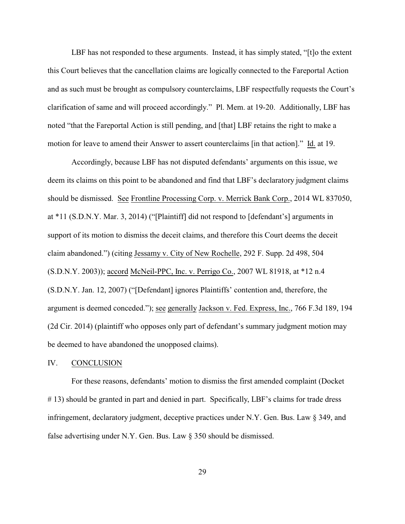LBF has not responded to these arguments. Instead, it has simply stated, "[t]o the extent this Court believes that the cancellation claims are logically connected to the Fareportal Action and as such must be brought as compulsory counterclaims, LBF respectfully requests the Court's clarification of same and will proceed accordingly." Pl. Mem. at 19-20. Additionally, LBF has noted "that the Fareportal Action is still pending, and [that] LBF retains the right to make a motion for leave to amend their Answer to assert counterclaims [in that action]." Id. at 19.

Accordingly, because LBF has not disputed defendants' arguments on this issue, we deem its claims on this point to be abandoned and find that LBF's declaratory judgment claims should be dismissed. See Frontline Processing Corp. v. Merrick Bank Corp., 2014 WL 837050, at \*11 (S.D.N.Y. Mar. 3, 2014) ("[Plaintiff] did not respond to [defendant's] arguments in support of its motion to dismiss the deceit claims, and therefore this Court deems the deceit claim abandoned.") (citing Jessamy v. City of New Rochelle, 292 F. Supp. 2d 498, 504 (S.D.N.Y. 2003)); accord McNeil-PPC, Inc. v. Perrigo Co., 2007 WL 81918, at \*12 n.4 (S.D.N.Y. Jan. 12, 2007) ("[Defendant] ignores Plaintiffs' contention and, therefore, the argument is deemed conceded."); see generally Jackson v. Fed. Express, Inc., 766 F.3d 189, 194 (2d Cir. 2014) (plaintiff who opposes only part of defendant's summary judgment motion may be deemed to have abandoned the unopposed claims).

#### IV. CONCLUSION

For these reasons, defendants' motion to dismiss the first amended complaint (Docket # 13) should be granted in part and denied in part. Specifically, LBF's claims for trade dress infringement, declaratory judgment, deceptive practices under N.Y. Gen. Bus. Law § 349, and false advertising under N.Y. Gen. Bus. Law § 350 should be dismissed.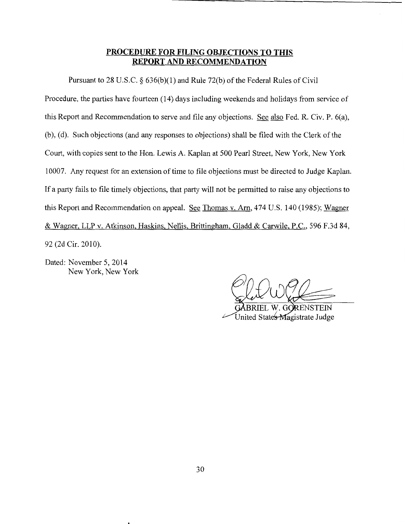## **PROCEDURE FOR FILING OBJECTIONS TO THIS REPORT AND RECOMMENDATION**

Pursuant to 28 U.S.C. § 636(b)(1) and Rule 72(b) of the Federal Rules of Civil

Procedure, the parties have fourteen (14) days including weekends and holidays from service of this Report and Recommendation to serve and file any objections. See also Fed. R. Civ. P. 6(a), (b), (d). Such objections (and any responses to objections) shall be filed with the Clerk of the Court, with copies sent to the Hon. Lewis A. Kaplan at 500 Pearl Street, New York, New York 10007. Any request for an extension of time to file objections must be directed to Judge Kaplan. If a party fails to file timely objections, that party will not be permitted to raise any objections to this Report and Recommendation on appeal. See Thomas v. Arn, 474 U.S. 140 (1985); Wagner & Wagner, LLP v. Atkinson, Haskins, Nellis, Brittingham, Gladd & Carwile, P.C., 596 F.3d 84, 92 (2d Cir. 2010).

Dated: November 5, 2014 New York, New York

United States Magistrate Judge